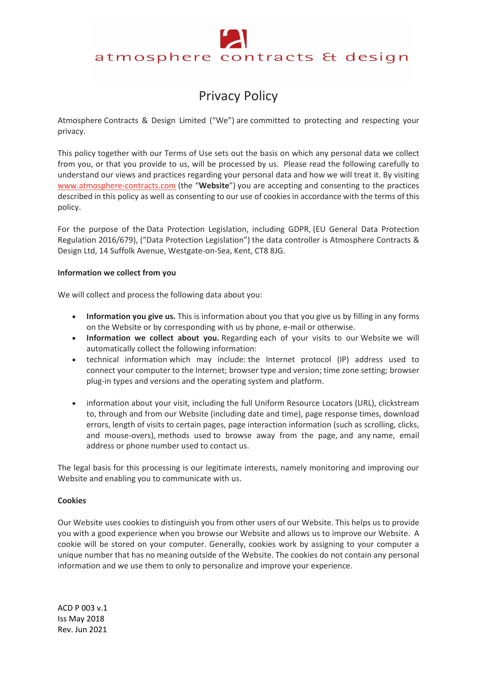# atmosphere contracts & design

# Privacy Policy

Atmosphere Contracts & Design Limited ("We") are committed to protecting and respecting your privacy.

This policy together with our Terms of Use sets out the basis on which any personal data we collect from you, or that you provide to us, will be processed by us. Please read the following carefully to understand our views and practices regarding your personal data and how we will treat it. By visiting www.atmosphere-contracts.com (the "**Website**") you are accepting and consenting to the practices described in this policy as well as consenting to our use of cookies in accordance with the terms of this policy.

For the purpose of the Data Protection Legislation, including GDPR, (EU General Data Protection Regulation 2016/679), ("Data Protection Legislation") the data controller is Atmosphere Contracts & Design Ltd, 14 Suffolk Avenue, Westgate-on-Sea, Kent, CT8 8JG.

# **Information we collect from you**

We will collect and process the following data about you:

- **Information you give us.** This is information about you that you give us by filling in any forms on the Website or by corresponding with us by phone, e-mail or otherwise.
- **Information we collect about you.** Regarding each of your visits to our Website we will automatically collect the following information:
- technical information which may include: the Internet protocol (IP) address used to connect your computer to the Internet; browser type and version; time zone setting; browser plug-in types and versions and the operating system and platform.
- information about your visit, including the full Uniform Resource Locators (URL), clickstream to, through and from our Website (including date and time), page response times, download errors, length of visits to certain pages, page interaction information (such as scrolling, clicks, and mouse-overs), methods used to browse away from the page, and any name, email address or phone number used to contact us.

The legal basis for this processing is our legitimate interests, namely monitoring and improving our Website and enabling you to communicate with us.

# **Cookies**

Our Website uses cookies to distinguish you from other users of our Website. This helps us to provide you with a good experience when you browse our Website and allows us to improve our Website. A cookie will be stored on your computer. Generally, cookies work by assigning to your computer a unique number that has no meaning outside of the Website. The cookies do not contain any personal information and we use them to only to personalize and improve your experience.

ACD P 003 v.1 Iss May 2018 Rev. Jun 2021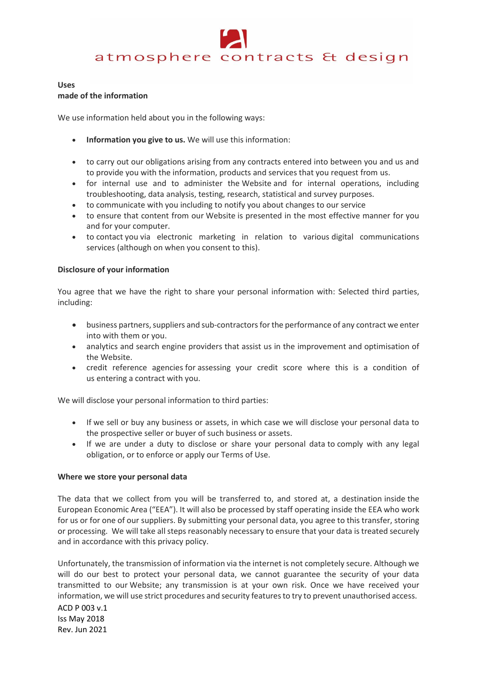# atmosphere contracts & design

#### **Uses**

#### **made of the information**

We use information held about you in the following ways:

- **Information you give to us.** We will use this information:
- to carry out our obligations arising from any contracts entered into between you and us and to provide you with the information, products and services that you request from us.
- for internal use and to administer the Website and for internal operations, including troubleshooting, data analysis, testing, research, statistical and survey purposes.
- to communicate with you including to notify you about changes to our service
- to ensure that content from our Website is presented in the most effective manner for you and for your computer.
- to contact you via electronic marketing in relation to various digital communications services (although on when you consent to this).

# **Disclosure of your information**

You agree that we have the right to share your personal information with: Selected third parties, including:

- business partners, suppliers and sub-contractors for the performance of any contract we enter into with them or you.
- analytics and search engine providers that assist us in the improvement and optimisation of the Website.
- credit reference agencies for assessing your credit score where this is a condition of us entering a contract with you.

We will disclose your personal information to third parties:

- If we sell or buy any business or assets, in which case we will disclose your personal data to the prospective seller or buyer of such business or assets.
- If we are under a duty to disclose or share your personal data to comply with any legal obligation, or to enforce or apply our Terms of Use.

# **Where we store your personal data**

The data that we collect from you will be transferred to, and stored at, a destination inside the European Economic Area ("EEA"). It will also be processed by staff operating inside the EEA who work for us or for one of our suppliers. By submitting your personal data, you agree to this transfer, storing or processing. We will take all steps reasonably necessary to ensure that your data is treated securely and in accordance with this privacy policy.

Unfortunately, the transmission of information via the internet is not completely secure. Although we will do our best to protect your personal data, we cannot guarantee the security of your data transmitted to our Website; any transmission is at your own risk. Once we have received your information, we will use strict procedures and security features to try to prevent unauthorised access.

ACD P 003 v.1 Iss May 2018 Rev. Jun 2021